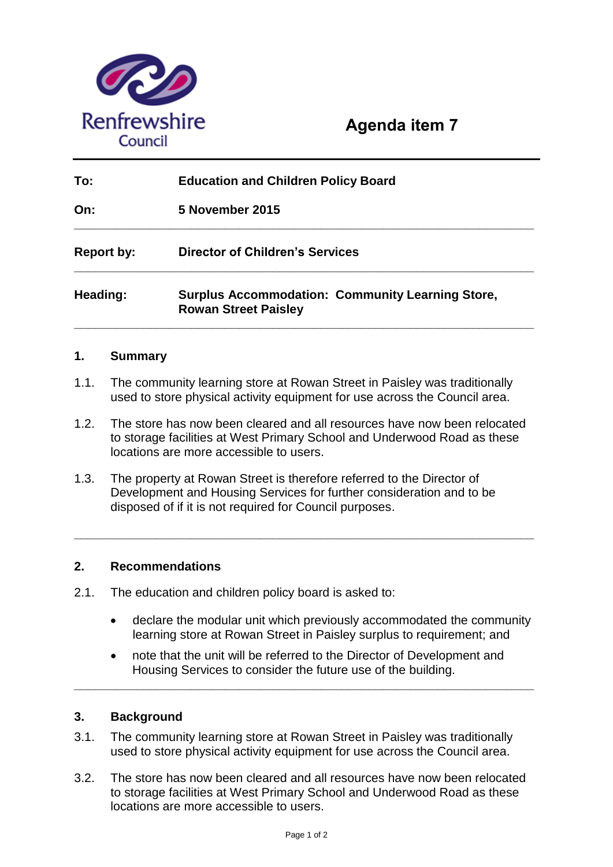

| To:               | <b>Education and Children Policy Board</b>                                             |
|-------------------|----------------------------------------------------------------------------------------|
| On:               | <b>5 November 2015</b>                                                                 |
| <b>Report by:</b> | <b>Director of Children's Services</b>                                                 |
| Heading:          | <b>Surplus Accommodation: Community Learning Store,</b><br><b>Rowan Street Paisley</b> |

# **1. Summary**

- 1.1. The community learning store at Rowan Street in Paisley was traditionally used to store physical activity equipment for use across the Council area.
- 1.2. The store has now been cleared and all resources have now been relocated to storage facilities at West Primary School and Underwood Road as these locations are more accessible to users.

**\_\_\_\_\_\_\_\_\_\_\_\_\_\_\_\_\_\_\_\_\_\_\_\_\_\_\_\_\_\_\_\_\_\_\_\_\_\_\_\_\_\_\_\_\_\_\_\_\_\_\_\_\_\_\_\_\_\_\_\_\_\_\_\_\_\_\_**

1.3. The property at Rowan Street is therefore referred to the Director of Development and Housing Services for further consideration and to be disposed of if it is not required for Council purposes.

# **2. Recommendations**

- 2.1. The education and children policy board is asked to:
	- declare the modular unit which previously accommodated the community learning store at Rowan Street in Paisley surplus to requirement; and
	- note that the unit will be referred to the Director of Development and Housing Services to consider the future use of the building.

**\_\_\_\_\_\_\_\_\_\_\_\_\_\_\_\_\_\_\_\_\_\_\_\_\_\_\_\_\_\_\_\_\_\_\_\_\_\_\_\_\_\_\_\_\_\_\_\_\_\_\_\_\_\_\_\_\_\_\_\_\_\_\_\_\_\_\_**

### **3. Background**

- 3.1. The community learning store at Rowan Street in Paisley was traditionally used to store physical activity equipment for use across the Council area.
- 3.2. The store has now been cleared and all resources have now been relocated to storage facilities at West Primary School and Underwood Road as these locations are more accessible to users.